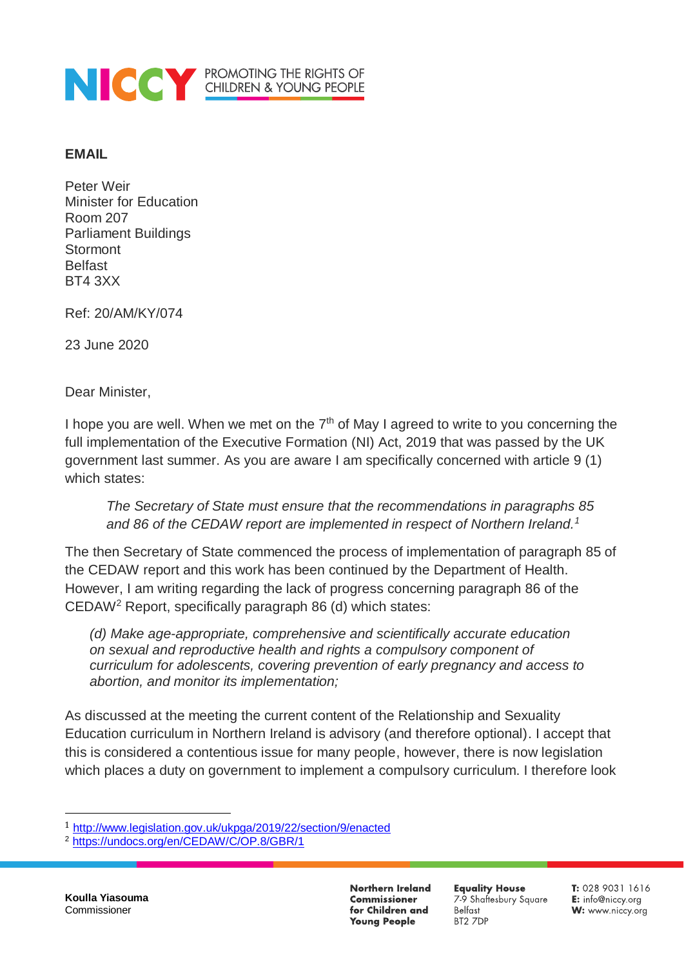

## **EMAIL**

Peter Weir Minister for Education Room 207 Parliament Buildings **Stormont** Belfast BT4 3XX

Ref: 20/AM/KY/074

23 June 2020

Dear Minister,

I hope you are well. When we met on the  $7<sup>th</sup>$  of May I agreed to write to you concerning the full implementation of the Executive Formation (NI) Act, 2019 that was passed by the UK government last summer. As you are aware I am specifically concerned with article 9 (1) which states:

*The Secretary of State must ensure that the recommendations in paragraphs 85 and 86 of the CEDAW report are implemented in respect of Northern Ireland.<sup>1</sup>*

The then Secretary of State commenced the process of implementation of paragraph 85 of the CEDAW report and this work has been continued by the Department of Health. However, I am writing regarding the lack of progress concerning paragraph 86 of the CEDAW<sup>2</sup> Report, specifically paragraph 86 (d) which states:

*(d) Make age-appropriate, comprehensive and scientifically accurate education on sexual and reproductive health and rights a compulsory component of curriculum for adolescents, covering prevention of early pregnancy and access to abortion, and monitor its implementation;* 

As discussed at the meeting the current content of the Relationship and Sexuality Education curriculum in Northern Ireland is advisory (and therefore optional). I accept that this is considered a contentious issue for many people, however, there is now legislation which places a duty on government to implement a compulsory curriculum. I therefore look

 $\overline{a}$ 

**Northern Ireland Commissioner** for Children and **Young People** 

**Equality House** 79 Shaftesbury Square Belfast BT2 7DP

T: 028 9031 1616 E: info@niccy.org W: www.niccy.org

<sup>1</sup> <http://www.legislation.gov.uk/ukpga/2019/22/section/9/enacted>

<sup>2</sup> <https://undocs.org/en/CEDAW/C/OP.8/GBR/1>